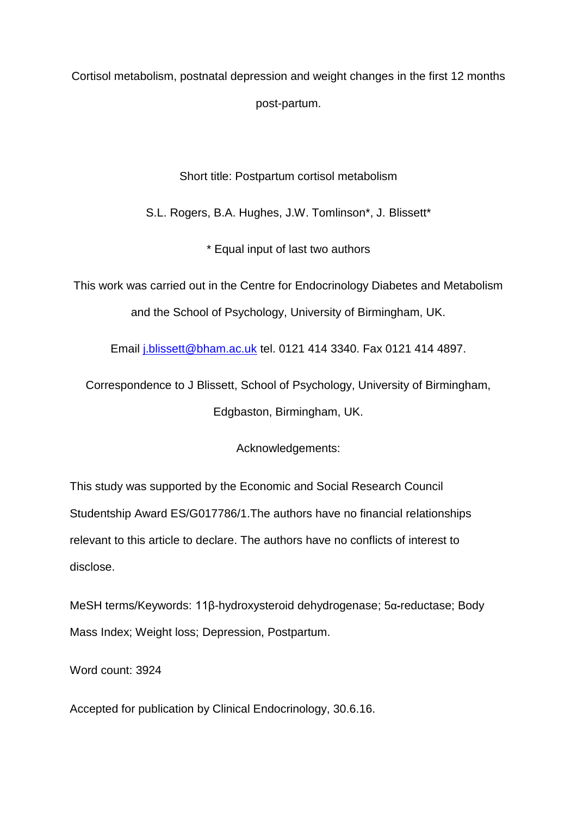Cortisol metabolism, postnatal depression and weight changes in the first 12 months post-partum.

Short title: Postpartum cortisol metabolism

S.L. Rogers, B.A. Hughes, J.W. Tomlinson\*, J. Blissett\*

\* Equal input of last two authors

This work was carried out in the Centre for Endocrinology Diabetes and Metabolism and the School of Psychology, University of Birmingham, UK.

Email [j.blissett@bham.ac.uk](mailto:j.blissett@bham.ac.uk) tel. 0121 414 3340. Fax 0121 414 4897.

Correspondence to J Blissett, School of Psychology, University of Birmingham, Edgbaston, Birmingham, UK.

Acknowledgements:

This study was supported by the Economic and Social Research Council Studentship Award ES/G017786/1.The authors have no financial relationships relevant to this article to declare. The authors have no conflicts of interest to disclose.

MeSH terms/Keywords: 11β-hydroxysteroid dehydrogenase; 5α**-**reductase; Body Mass Index; Weight loss; Depression, Postpartum.

Word count: 3924

Accepted for publication by Clinical Endocrinology, 30.6.16.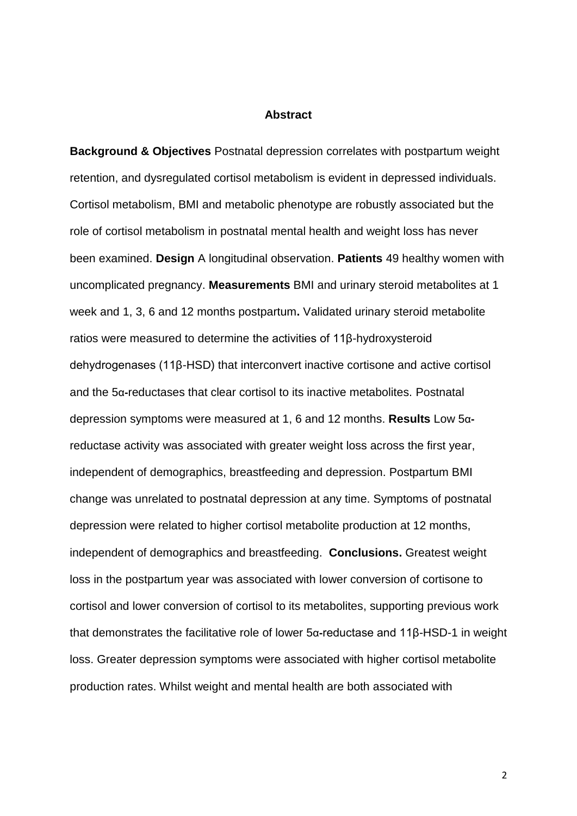#### **Abstract**

**Background & Objectives** Postnatal depression correlates with postpartum weight retention, and dysregulated cortisol metabolism is evident in depressed individuals. Cortisol metabolism, BMI and metabolic phenotype are robustly associated but the role of cortisol metabolism in postnatal mental health and weight loss has never been examined. **Design** A longitudinal observation. **Patients** 49 healthy women with uncomplicated pregnancy. **Measurements** BMI and urinary steroid metabolites at 1 week and 1, 3, 6 and 12 months postpartum**.** Validated urinary steroid metabolite ratios were measured to determine the activities of 11β-hydroxysteroid dehydrogenases (11β-HSD) that interconvert inactive cortisone and active cortisol and the 5α**-**reductases that clear cortisol to its inactive metabolites. Postnatal depression symptoms were measured at 1, 6 and 12 months. **Results** Low 5αreductase activity was associated with greater weight loss across the first year, independent of demographics, breastfeeding and depression. Postpartum BMI change was unrelated to postnatal depression at any time. Symptoms of postnatal depression were related to higher cortisol metabolite production at 12 months, independent of demographics and breastfeeding. **Conclusions.** Greatest weight loss in the postpartum year was associated with lower conversion of cortisone to cortisol and lower conversion of cortisol to its metabolites, supporting previous work that demonstrates the facilitative role of lower 5α**-**reductase and 11β-HSD-1 in weight loss. Greater depression symptoms were associated with higher cortisol metabolite production rates. Whilst weight and mental health are both associated with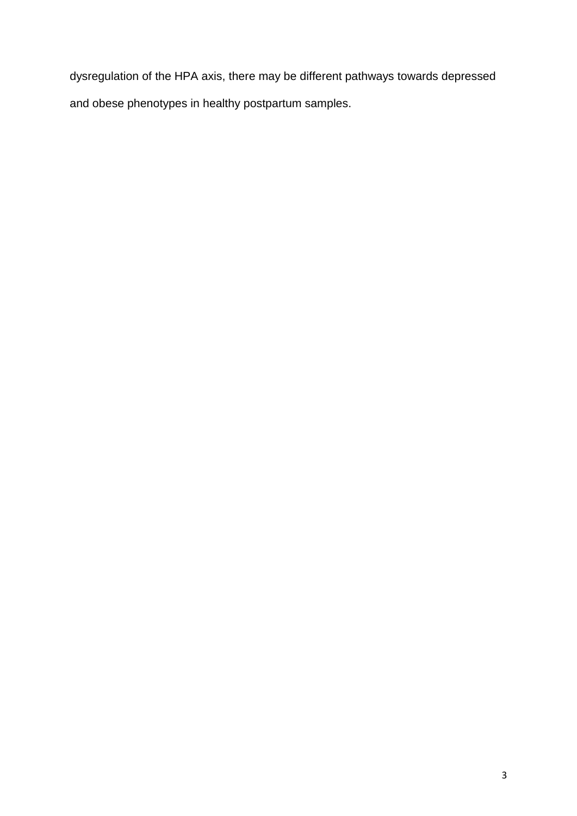dysregulation of the HPA axis, there may be different pathways towards depressed and obese phenotypes in healthy postpartum samples.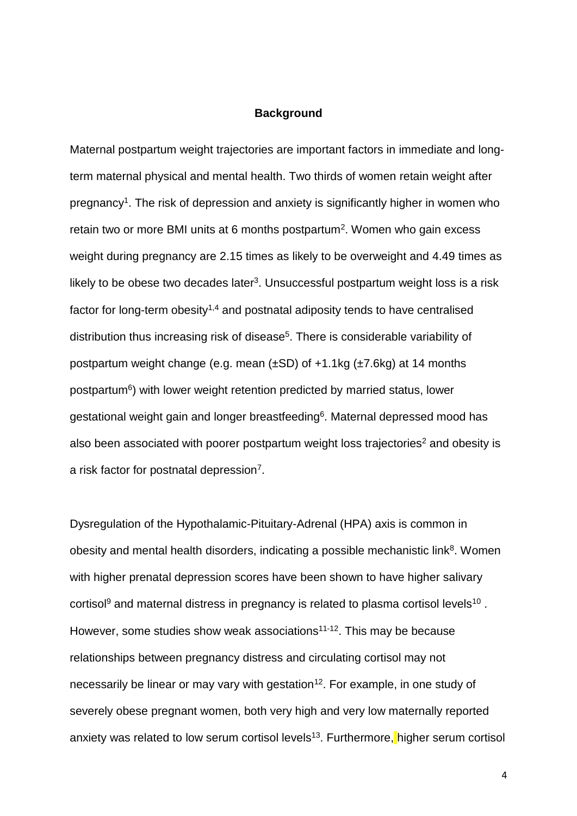## **Background**

Maternal postpartum weight trajectories are important factors in immediate and longterm maternal physical and mental health. Two thirds of women retain weight after pregnancy<sup>1</sup>. The risk of depression and anxiety is significantly higher in women who retain two or more BMI units at 6 months postpartum<sup>2</sup>. Women who gain excess weight during pregnancy are 2.15 times as likely to be overweight and 4.49 times as likely to be obese two decades later<sup>3</sup>. Unsuccessful postpartum weight loss is a risk factor for long-term obesity<sup> $1,4$ </sup> and postnatal adiposity tends to have centralised distribution thus increasing risk of disease<sup>5</sup>. There is considerable variability of postpartum weight change (e.g. mean (±SD) of +1.1kg (±7.6kg) at 14 months postpartum<sup>6</sup>) with lower weight retention predicted by married status, lower gestational weight gain and longer breastfeeding<sup>6</sup>. Maternal depressed mood has also been associated with poorer postpartum weight loss trajectories<sup>2</sup> and obesity is a risk factor for postnatal depression<sup>7</sup>.

Dysregulation of the Hypothalamic-Pituitary-Adrenal (HPA) axis is common in obesity and mental health disorders, indicating a possible mechanistic link<sup>8</sup>. Women with higher prenatal depression scores have been shown to have higher salivary cortisol<sup>9</sup> and maternal distress in pregnancy is related to plasma cortisol levels<sup>10</sup>. However, some studies show weak associations<sup>11-12</sup>. This may be because relationships between pregnancy distress and circulating cortisol may not necessarily be linear or may vary with gestation<sup>12</sup>. For example, in one study of severely obese pregnant women, both very high and very low maternally reported anxiety was related to low serum cortisol levels<sup>13</sup>. Furthermore, higher serum cortisol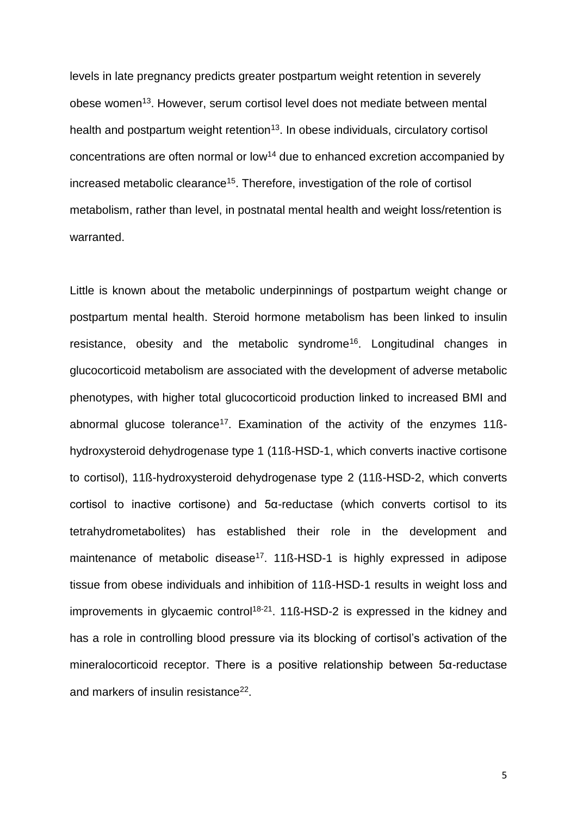levels in late pregnancy predicts greater postpartum weight retention in severely obese women<sup>13</sup>. However, serum cortisol level does not mediate between mental health and postpartum weight retention<sup>13</sup>. In obese individuals, circulatory cortisol concentrations are often normal or low<sup>14</sup> due to enhanced excretion accompanied by increased metabolic clearance<sup>15</sup>. Therefore, investigation of the role of cortisol metabolism, rather than level, in postnatal mental health and weight loss/retention is warranted.

Little is known about the metabolic underpinnings of postpartum weight change or postpartum mental health. Steroid hormone metabolism has been linked to insulin resistance, obesity and the metabolic syndrome<sup>16</sup>. Longitudinal changes in glucocorticoid metabolism are associated with the development of adverse metabolic phenotypes, with higher total glucocorticoid production linked to increased BMI and abnormal glucose tolerance<sup>17</sup>. Examination of the activity of the enzymes 11ßhydroxysteroid dehydrogenase type 1 (11ß-HSD-1, which converts inactive cortisone to cortisol), 11ß-hydroxysteroid dehydrogenase type 2 (11ß-HSD-2, which converts cortisol to inactive cortisone) and 5α-reductase (which converts cortisol to its tetrahydrometabolites) has established their role in the development and maintenance of metabolic disease<sup>17</sup>. 11ß-HSD-1 is highly expressed in adipose tissue from obese individuals and inhibition of 11ß-HSD-1 results in weight loss and improvements in glycaemic control<sup>18-21</sup>. 11 $\beta$ -HSD-2 is expressed in the kidney and has a role in controlling blood pressure via its blocking of cortisol's activation of the mineralocorticoid receptor. There is a positive relationship between 5α-reductase and markers of insulin resistance<sup>22</sup>.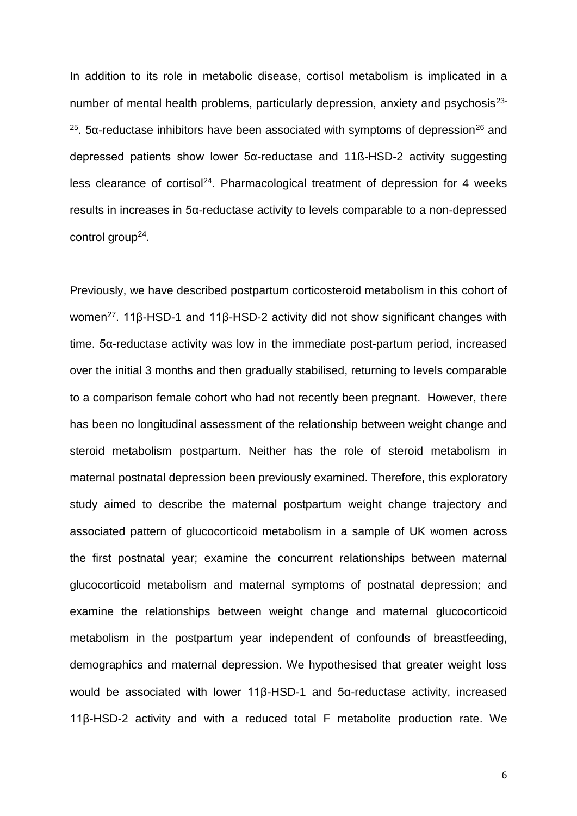In addition to its role in metabolic disease, cortisol metabolism is implicated in a number of mental health problems, particularly depression, anxiety and psychosis<sup>23-</sup> <sup>25</sup>. 5α-reductase inhibitors have been associated with symptoms of depression<sup>26</sup> and depressed patients show lower 5α-reductase and 11ß-HSD-2 activity suggesting less clearance of cortisol<sup>24</sup>. Pharmacological treatment of depression for 4 weeks results in increases in 5α-reductase activity to levels comparable to a non-depressed control group<sup>24</sup>.

Previously, we have described postpartum corticosteroid metabolism in this cohort of women<sup>27</sup>. 11β-HSD-1 and 11β-HSD-2 activity did not show significant changes with time. 5α-reductase activity was low in the immediate post-partum period, increased over the initial 3 months and then gradually stabilised, returning to levels comparable to a comparison female cohort who had not recently been pregnant. However, there has been no longitudinal assessment of the relationship between weight change and steroid metabolism postpartum. Neither has the role of steroid metabolism in maternal postnatal depression been previously examined. Therefore, this exploratory study aimed to describe the maternal postpartum weight change trajectory and associated pattern of glucocorticoid metabolism in a sample of UK women across the first postnatal year; examine the concurrent relationships between maternal glucocorticoid metabolism and maternal symptoms of postnatal depression; and examine the relationships between weight change and maternal glucocorticoid metabolism in the postpartum year independent of confounds of breastfeeding, demographics and maternal depression. We hypothesised that greater weight loss would be associated with lower 11β-HSD-1 and 5α-reductase activity, increased 11β-HSD-2 activity and with a reduced total F metabolite production rate. We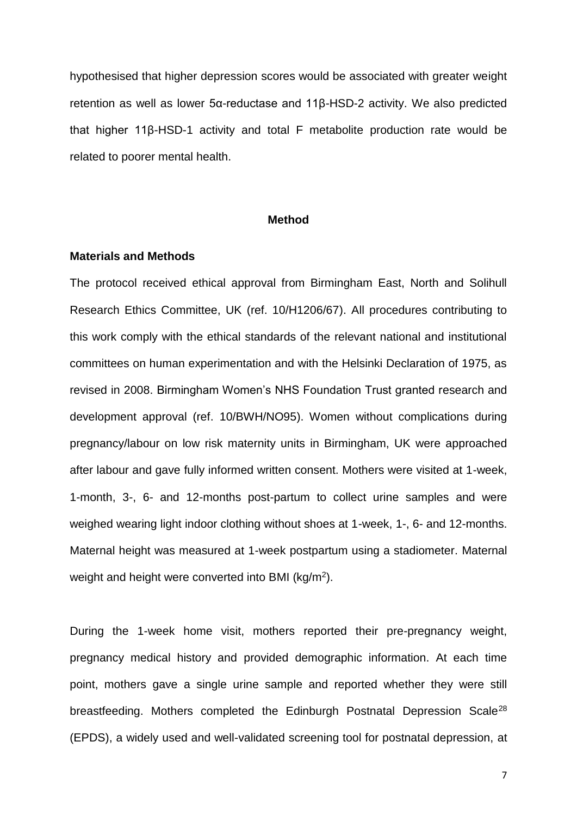hypothesised that higher depression scores would be associated with greater weight retention as well as lower 5α-reductase and 11β-HSD-2 activity. We also predicted that higher 11β-HSD-1 activity and total F metabolite production rate would be related to poorer mental health.

### **Method**

#### **Materials and Methods**

The protocol received ethical approval from Birmingham East, North and Solihull Research Ethics Committee, UK (ref. 10/H1206/67). All procedures contributing to this work comply with the ethical standards of the relevant national and institutional committees on human experimentation and with the Helsinki Declaration of 1975, as revised in 2008. Birmingham Women's NHS Foundation Trust granted research and development approval (ref. 10/BWH/NO95). Women without complications during pregnancy/labour on low risk maternity units in Birmingham, UK were approached after labour and gave fully informed written consent. Mothers were visited at 1-week, 1-month, 3-, 6- and 12-months post-partum to collect urine samples and were weighed wearing light indoor clothing without shoes at 1-week, 1-, 6- and 12-months. Maternal height was measured at 1-week postpartum using a stadiometer. Maternal weight and height were converted into BMI (kg/m<sup>2</sup>).

During the 1-week home visit, mothers reported their pre-pregnancy weight, pregnancy medical history and provided demographic information. At each time point, mothers gave a single urine sample and reported whether they were still breastfeeding. Mothers completed the Edinburgh Postnatal Depression Scale<sup>28</sup> (EPDS), a widely used and well-validated screening tool for postnatal depression, at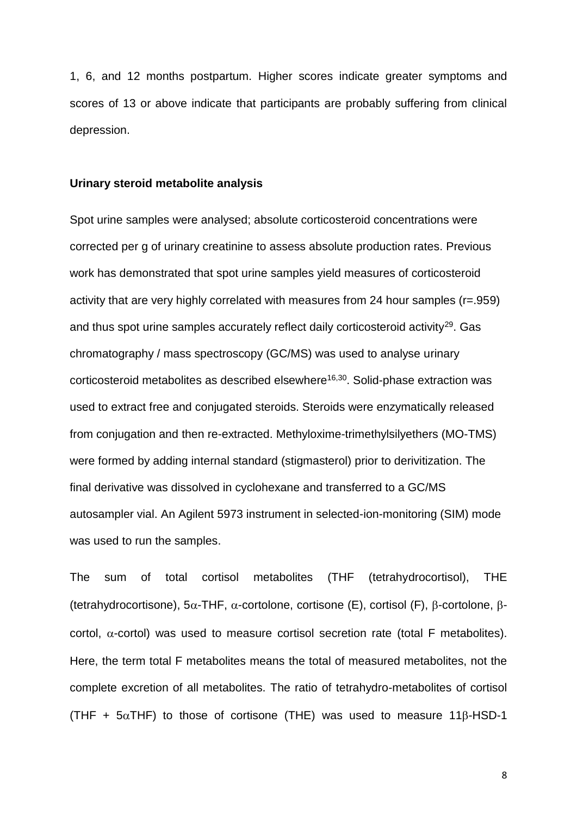1, 6, and 12 months postpartum. Higher scores indicate greater symptoms and scores of 13 or above indicate that participants are probably suffering from clinical depression.

### **Urinary steroid metabolite analysis**

Spot urine samples were analysed; absolute corticosteroid concentrations were corrected per g of urinary creatinine to assess absolute production rates. Previous work has demonstrated that spot urine samples yield measures of corticosteroid activity that are very highly correlated with measures from 24 hour samples (r=.959) and thus spot urine samples accurately reflect daily corticosteroid activity<sup>29</sup>. Gas chromatography / mass spectroscopy (GC/MS) was used to analyse urinary corticosteroid metabolites as described elsewhere<sup>16,30</sup>. Solid-phase extraction was used to extract free and conjugated steroids. Steroids were enzymatically released from conjugation and then re-extracted. Methyloxime-trimethylsilyethers (MO-TMS) were formed by adding internal standard (stigmasterol) prior to derivitization. The final derivative was dissolved in cyclohexane and transferred to a GC/MS autosampler vial. An Agilent 5973 instrument in selected-ion-monitoring (SIM) mode was used to run the samples.

The sum of total cortisol metabolites (THF (tetrahydrocortisol), THE (tetrahydrocortisone), 5 $\alpha$ -THF,  $\alpha$ -cortolone, cortisone (E), cortisol (F),  $\beta$ -cortolone,  $\beta$ cortol,  $\alpha$ -cortol) was used to measure cortisol secretion rate (total F metabolites). Here, the term total F metabolites means the total of measured metabolites, not the complete excretion of all metabolites. The ratio of tetrahydro-metabolites of cortisol (THF +  $5\alpha$ THF) to those of cortisone (THE) was used to measure 118-HSD-1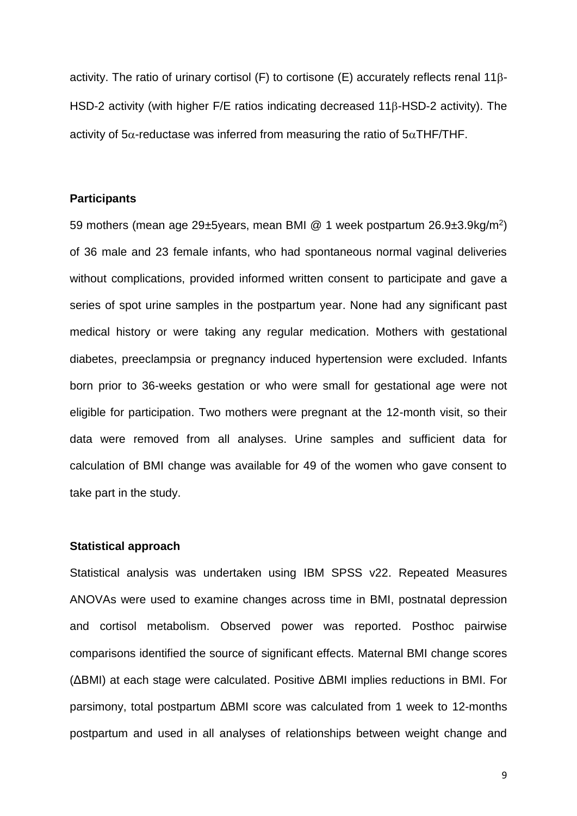activity. The ratio of urinary cortisol (F) to cortisone (E) accurately reflects renal  $11\beta$ -HSD-2 activity (with higher F/E ratios indicating decreased 116-HSD-2 activity). The activity of  $5\alpha$ -reductase was inferred from measuring the ratio of  $5\alpha$ THF/THF.

# **Participants**

59 mothers (mean age 29±5years, mean BMI @ 1 week postpartum 26.9±3.9kg/m<sup>2</sup>) of 36 male and 23 female infants, who had spontaneous normal vaginal deliveries without complications, provided informed written consent to participate and gave a series of spot urine samples in the postpartum year. None had any significant past medical history or were taking any regular medication. Mothers with gestational diabetes, preeclampsia or pregnancy induced hypertension were excluded. Infants born prior to 36-weeks gestation or who were small for gestational age were not eligible for participation. Two mothers were pregnant at the 12-month visit, so their data were removed from all analyses. Urine samples and sufficient data for calculation of BMI change was available for 49 of the women who gave consent to take part in the study.

# **Statistical approach**

Statistical analysis was undertaken using IBM SPSS v22. Repeated Measures ANOVAs were used to examine changes across time in BMI, postnatal depression and cortisol metabolism. Observed power was reported. Posthoc pairwise comparisons identified the source of significant effects. Maternal BMI change scores (ΔBMI) at each stage were calculated. Positive ΔBMI implies reductions in BMI. For parsimony, total postpartum ΔBMI score was calculated from 1 week to 12-months postpartum and used in all analyses of relationships between weight change and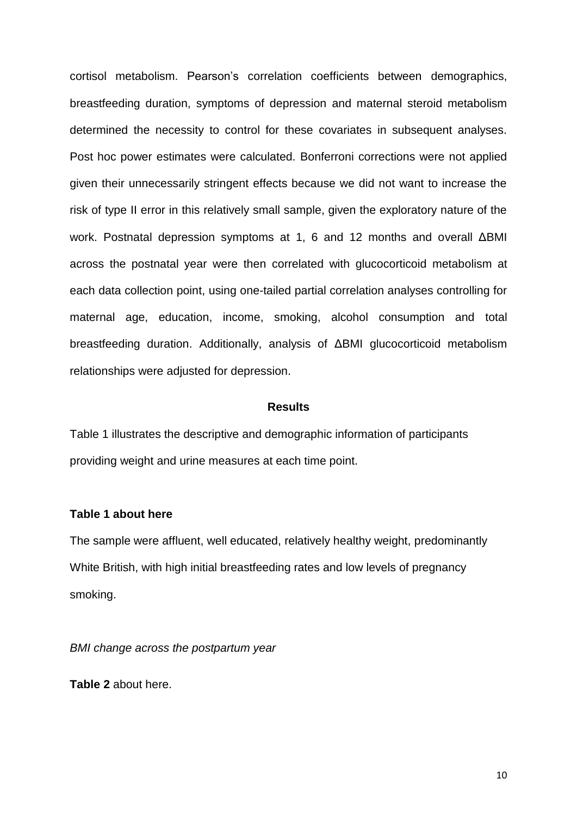cortisol metabolism. Pearson's correlation coefficients between demographics, breastfeeding duration, symptoms of depression and maternal steroid metabolism determined the necessity to control for these covariates in subsequent analyses. Post hoc power estimates were calculated. Bonferroni corrections were not applied given their unnecessarily stringent effects because we did not want to increase the risk of type II error in this relatively small sample, given the exploratory nature of the work. Postnatal depression symptoms at 1, 6 and 12 months and overall ΔBMI across the postnatal year were then correlated with glucocorticoid metabolism at each data collection point, using one-tailed partial correlation analyses controlling for maternal age, education, income, smoking, alcohol consumption and total breastfeeding duration. Additionally, analysis of ΔBMI glucocorticoid metabolism relationships were adjusted for depression.

# **Results**

Table 1 illustrates the descriptive and demographic information of participants providing weight and urine measures at each time point.

# **Table 1 about here**

The sample were affluent, well educated, relatively healthy weight, predominantly White British, with high initial breastfeeding rates and low levels of pregnancy smoking.

*BMI change across the postpartum year*

**Table 2** about here.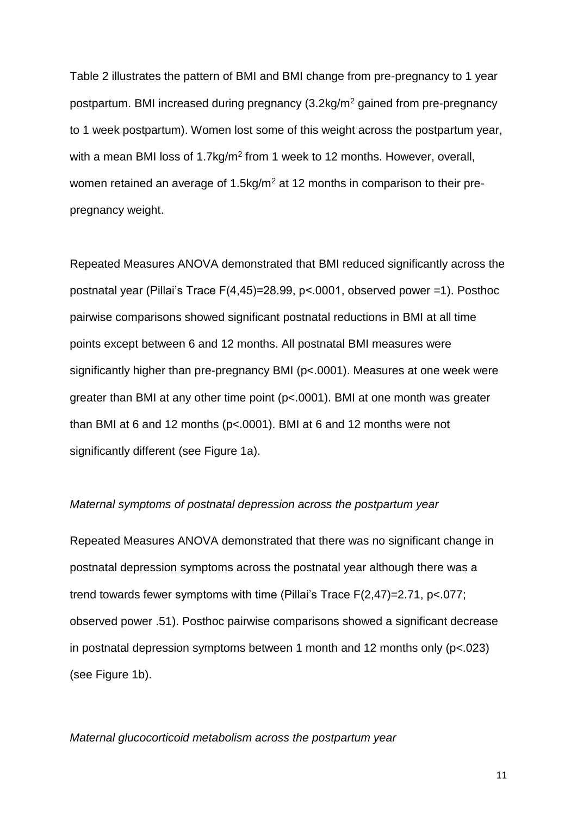Table 2 illustrates the pattern of BMI and BMI change from pre-pregnancy to 1 year postpartum. BMI increased during pregnancy (3.2kg/m<sup>2</sup> gained from pre-pregnancy to 1 week postpartum). Women lost some of this weight across the postpartum year, with a mean BMI loss of 1.7kg/m<sup>2</sup> from 1 week to 12 months. However, overall, women retained an average of 1.5kg/m<sup>2</sup> at 12 months in comparison to their prepregnancy weight.

Repeated Measures ANOVA demonstrated that BMI reduced significantly across the postnatal year (Pillai's Trace F(4,45)=28.99, p<.0001, observed power =1). Posthoc pairwise comparisons showed significant postnatal reductions in BMI at all time points except between 6 and 12 months. All postnatal BMI measures were significantly higher than pre-pregnancy BMI (p<.0001). Measures at one week were greater than BMI at any other time point (p<.0001). BMI at one month was greater than BMI at 6 and 12 months (p<.0001). BMI at 6 and 12 months were not significantly different (see Figure 1a).

# *Maternal symptoms of postnatal depression across the postpartum year*

Repeated Measures ANOVA demonstrated that there was no significant change in postnatal depression symptoms across the postnatal year although there was a trend towards fewer symptoms with time (Pillai's Trace F(2,47)=2.71, p<.077; observed power .51). Posthoc pairwise comparisons showed a significant decrease in postnatal depression symptoms between 1 month and 12 months only (p<.023) (see Figure 1b).

## *Maternal glucocorticoid metabolism across the postpartum year*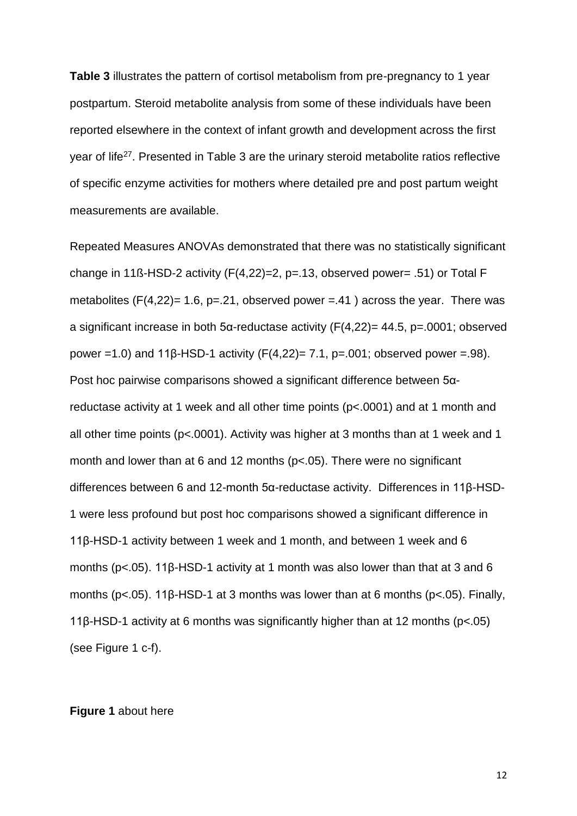**Table 3** illustrates the pattern of cortisol metabolism from pre-pregnancy to 1 year postpartum. Steroid metabolite analysis from some of these individuals have been reported elsewhere in the context of infant growth and development across the first year of life<sup>27</sup>. Presented in Table 3 are the urinary steroid metabolite ratios reflective of specific enzyme activities for mothers where detailed pre and post partum weight measurements are available.

Repeated Measures ANOVAs demonstrated that there was no statistically significant change in 11ß-HSD-2 activity (F(4,22)=2, p=.13, observed power= .51) or Total F metabolites (F(4,22)= 1.6, p=.21, observed power =.41) across the year. There was a significant increase in both 5α-reductase activity (F(4,22)= 44.5, p=.0001; observed power =1.0) and 11β-HSD-1 activity  $(F(4,22)= 7.1, p=.001;$  observed power =.98). Post hoc pairwise comparisons showed a significant difference between 5αreductase activity at 1 week and all other time points (p<.0001) and at 1 month and all other time points (p<.0001). Activity was higher at 3 months than at 1 week and 1 month and lower than at 6 and 12 months (p<.05). There were no significant differences between 6 and 12-month 5α-reductase activity. Differences in 11β-HSD-1 were less profound but post hoc comparisons showed a significant difference in 11β-HSD-1 activity between 1 week and 1 month, and between 1 week and 6 months (p<.05). 11β-HSD-1 activity at 1 month was also lower than that at 3 and 6 months (p<.05). 11β-HSD-1 at 3 months was lower than at 6 months (p<.05). Finally, 11β-HSD-1 activity at 6 months was significantly higher than at 12 months (p<.05) (see Figure 1 c-f).

### **Figure 1** about here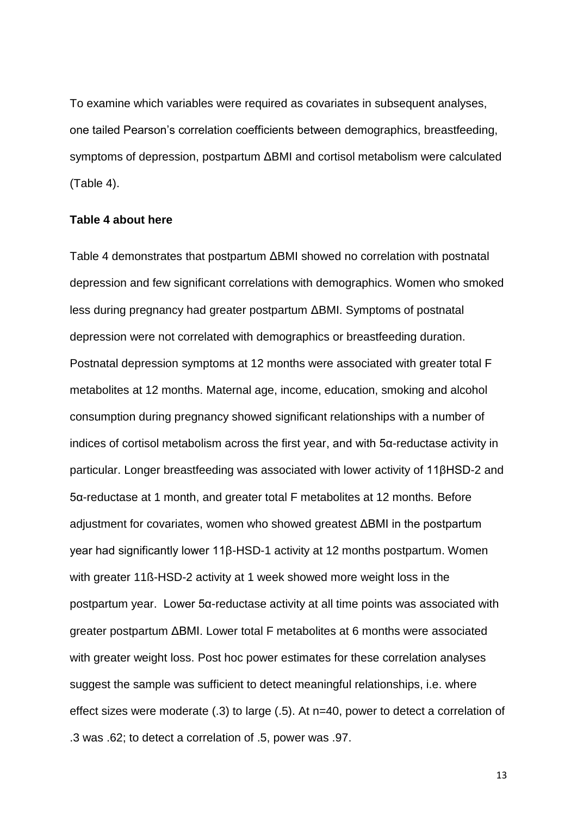To examine which variables were required as covariates in subsequent analyses, one tailed Pearson's correlation coefficients between demographics, breastfeeding, symptoms of depression, postpartum ΔBMI and cortisol metabolism were calculated (Table 4).

## **Table 4 about here**

Table 4 demonstrates that postpartum ΔBMI showed no correlation with postnatal depression and few significant correlations with demographics. Women who smoked less during pregnancy had greater postpartum ΔBMI. Symptoms of postnatal depression were not correlated with demographics or breastfeeding duration. Postnatal depression symptoms at 12 months were associated with greater total F metabolites at 12 months. Maternal age, income, education, smoking and alcohol consumption during pregnancy showed significant relationships with a number of indices of cortisol metabolism across the first year, and with 5α-reductase activity in particular. Longer breastfeeding was associated with lower activity of 11βHSD-2 and 5α-reductase at 1 month, and greater total F metabolites at 12 months. Before adjustment for covariates, women who showed greatest ΔBMI in the postpartum year had significantly lower 11β-HSD-1 activity at 12 months postpartum. Women with greater 11ß-HSD-2 activity at 1 week showed more weight loss in the postpartum year. Lower 5α-reductase activity at all time points was associated with greater postpartum ΔBMI. Lower total F metabolites at 6 months were associated with greater weight loss. Post hoc power estimates for these correlation analyses suggest the sample was sufficient to detect meaningful relationships, i.e. where effect sizes were moderate (.3) to large (.5). At n=40, power to detect a correlation of .3 was .62; to detect a correlation of .5, power was .97.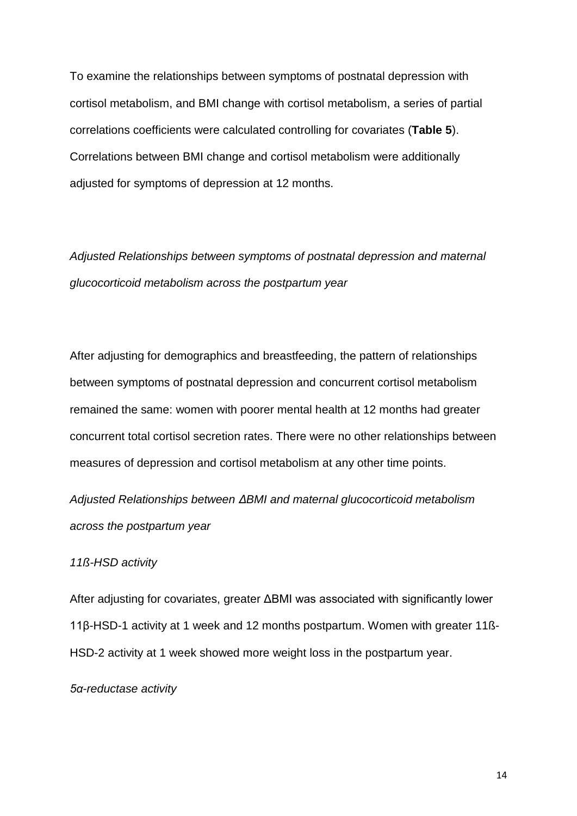To examine the relationships between symptoms of postnatal depression with cortisol metabolism, and BMI change with cortisol metabolism, a series of partial correlations coefficients were calculated controlling for covariates (**Table 5**). Correlations between BMI change and cortisol metabolism were additionally adjusted for symptoms of depression at 12 months.

*Adjusted Relationships between symptoms of postnatal depression and maternal glucocorticoid metabolism across the postpartum year*

After adjusting for demographics and breastfeeding, the pattern of relationships between symptoms of postnatal depression and concurrent cortisol metabolism remained the same: women with poorer mental health at 12 months had greater concurrent total cortisol secretion rates. There were no other relationships between measures of depression and cortisol metabolism at any other time points.

*Adjusted Relationships between ΔBMI and maternal glucocorticoid metabolism across the postpartum year*

### *11ß-HSD activity*

After adjusting for covariates, greater ΔBMI was associated with significantly lower 11β-HSD-1 activity at 1 week and 12 months postpartum. Women with greater 11ß-HSD-2 activity at 1 week showed more weight loss in the postpartum year.

*5α-reductase activity*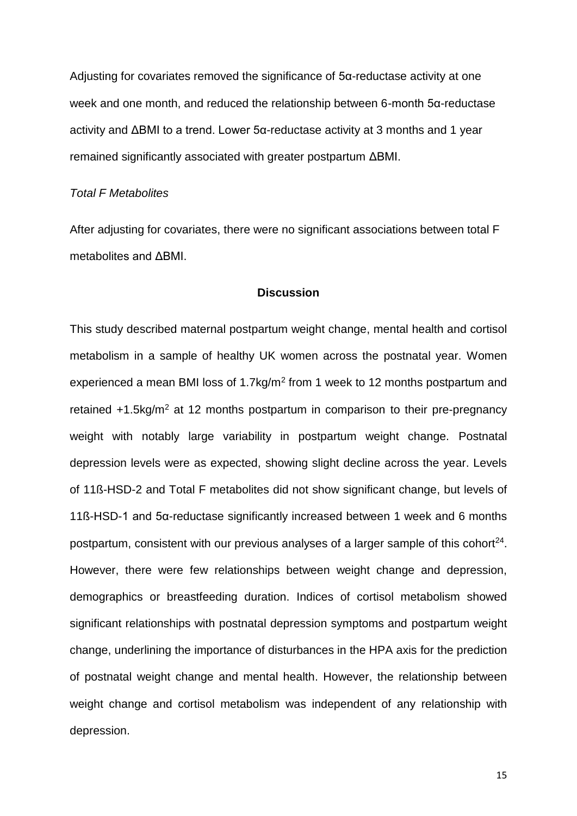Adjusting for covariates removed the significance of 5α-reductase activity at one week and one month, and reduced the relationship between 6-month 5α-reductase activity and ΔBMI to a trend. Lower 5α-reductase activity at 3 months and 1 year remained significantly associated with greater postpartum ΔBMI.

### *Total F Metabolites*

After adjusting for covariates, there were no significant associations between total F metabolites and ΔBMI.

# **Discussion**

This study described maternal postpartum weight change, mental health and cortisol metabolism in a sample of healthy UK women across the postnatal year. Women experienced a mean BMI loss of  $1.7$ kg/m<sup>2</sup> from 1 week to 12 months postpartum and retained +1.5kg/m<sup>2</sup> at 12 months postpartum in comparison to their pre-pregnancy weight with notably large variability in postpartum weight change. Postnatal depression levels were as expected, showing slight decline across the year. Levels of 11ß-HSD-2 and Total F metabolites did not show significant change, but levels of 11ß-HSD-1 and 5α-reductase significantly increased between 1 week and 6 months postpartum, consistent with our previous analyses of a larger sample of this cohort $24$ . However, there were few relationships between weight change and depression, demographics or breastfeeding duration. Indices of cortisol metabolism showed significant relationships with postnatal depression symptoms and postpartum weight change, underlining the importance of disturbances in the HPA axis for the prediction of postnatal weight change and mental health. However, the relationship between weight change and cortisol metabolism was independent of any relationship with depression.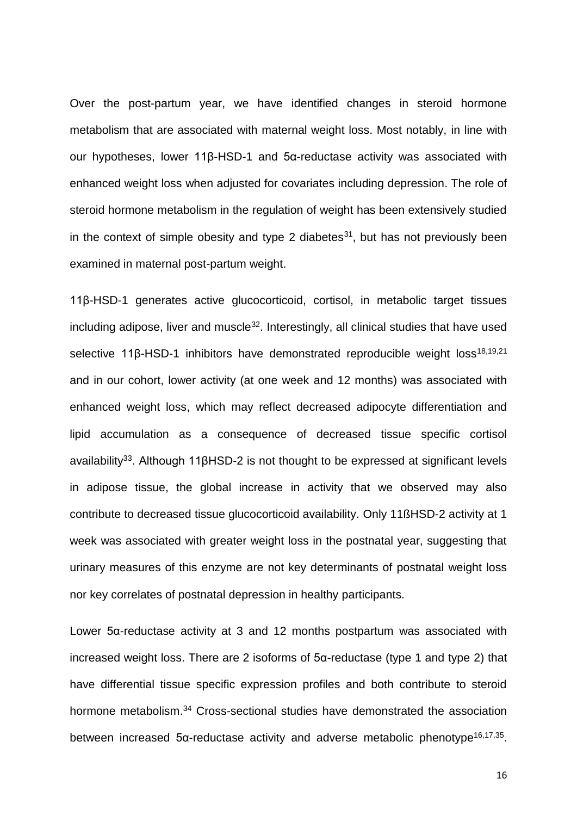Over the post-partum year, we have identified changes in steroid hormone metabolism that are associated with maternal weight loss. Most notably, in line with our hypotheses, lower 11β-HSD-1 and 5α-reductase activity was associated with enhanced weight loss when adjusted for covariates including depression. The role of steroid hormone metabolism in the regulation of weight has been extensively studied in the context of simple obesity and type 2 diabetes $31$ , but has not previously been examined in maternal post-partum weight.

11β-HSD-1 generates active glucocorticoid, cortisol, in metabolic target tissues including adipose, liver and muscle $32$ . Interestingly, all clinical studies that have used selective 11β-HSD-1 inhibitors have demonstrated reproducible weight loss<sup>18,19,21</sup> and in our cohort, lower activity (at one week and 12 months) was associated with enhanced weight loss, which may reflect decreased adipocyte differentiation and lipid accumulation as a consequence of decreased tissue specific cortisol availability<sup>33</sup>. Although 11βHSD-2 is not thought to be expressed at significant levels in adipose tissue, the global increase in activity that we observed may also contribute to decreased tissue glucocorticoid availability. Only 11ßHSD-2 activity at 1 week was associated with greater weight loss in the postnatal year, suggesting that urinary measures of this enzyme are not key determinants of postnatal weight loss nor key correlates of postnatal depression in healthy participants.

Lower 5α-reductase activity at 3 and 12 months postpartum was associated with increased weight loss. There are 2 isoforms of 5α-reductase (type 1 and type 2) that have differential tissue specific expression profiles and both contribute to steroid hormone metabolism. <sup>34</sup> Cross-sectional studies have demonstrated the association between increased 5α-reductase activity and adverse metabolic phenotype<sup>16,17,35</sup>.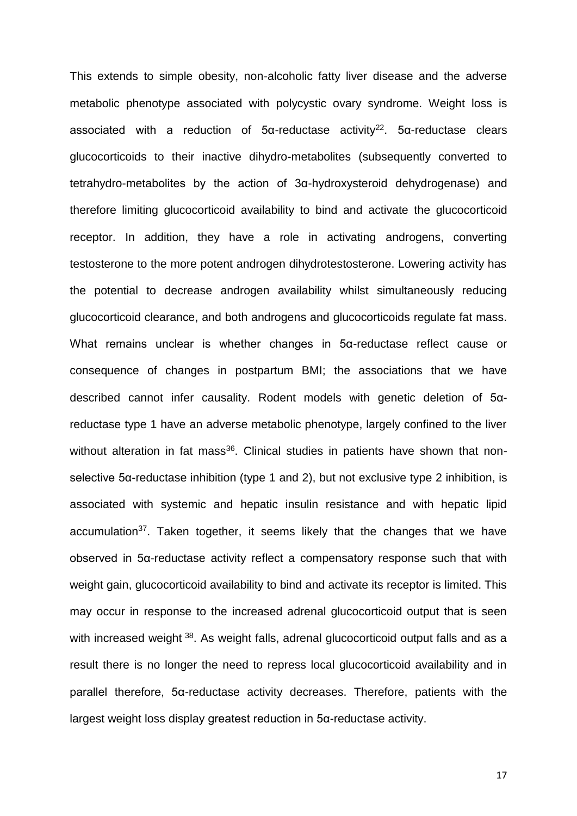This extends to simple obesity, non-alcoholic fatty liver disease and the adverse metabolic phenotype associated with polycystic ovary syndrome. Weight loss is associated with a reduction of 5α-reductase activity<sup>22</sup>. 5α-reductase clears glucocorticoids to their inactive dihydro-metabolites (subsequently converted to tetrahydro-metabolites by the action of 3α-hydroxysteroid dehydrogenase) and therefore limiting glucocorticoid availability to bind and activate the glucocorticoid receptor. In addition, they have a role in activating androgens, converting testosterone to the more potent androgen dihydrotestosterone. Lowering activity has the potential to decrease androgen availability whilst simultaneously reducing glucocorticoid clearance, and both androgens and glucocorticoids regulate fat mass. What remains unclear is whether changes in 5α-reductase reflect cause or consequence of changes in postpartum BMI; the associations that we have described cannot infer causality. Rodent models with genetic deletion of 5αreductase type 1 have an adverse metabolic phenotype, largely confined to the liver without alteration in fat mass<sup>36</sup>. Clinical studies in patients have shown that nonselective 5α-reductase inhibition (type 1 and 2), but not exclusive type 2 inhibition, is associated with systemic and hepatic insulin resistance and with hepatic lipid accumulation<sup>37</sup>. Taken together, it seems likely that the changes that we have observed in 5α-reductase activity reflect a compensatory response such that with weight gain, glucocorticoid availability to bind and activate its receptor is limited. This may occur in response to the increased adrenal glucocorticoid output that is seen with increased weight <sup>38</sup>. As weight falls, adrenal glucocorticoid output falls and as a result there is no longer the need to repress local glucocorticoid availability and in parallel therefore, 5α-reductase activity decreases. Therefore, patients with the largest weight loss display greatest reduction in 5α-reductase activity.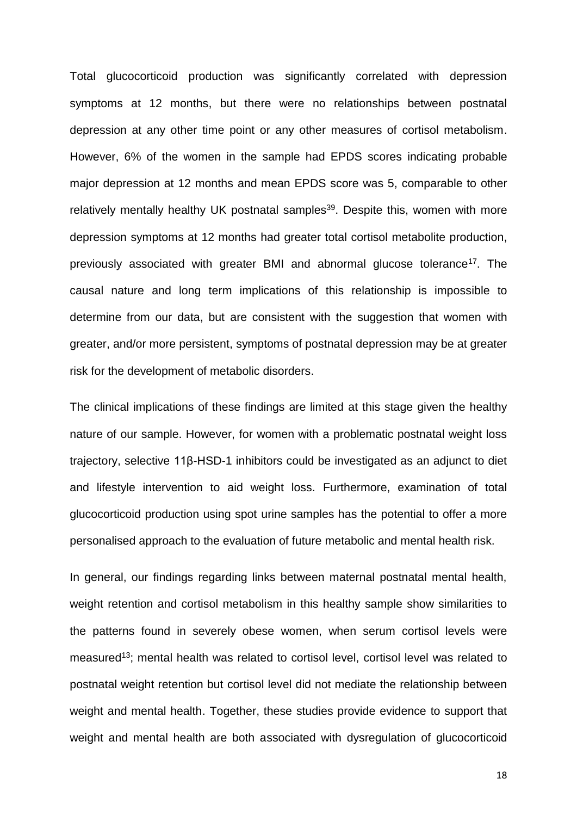Total glucocorticoid production was significantly correlated with depression symptoms at 12 months, but there were no relationships between postnatal depression at any other time point or any other measures of cortisol metabolism. However, 6% of the women in the sample had EPDS scores indicating probable major depression at 12 months and mean EPDS score was 5, comparable to other relatively mentally healthy UK postnatal samples<sup>39</sup>. Despite this, women with more depression symptoms at 12 months had greater total cortisol metabolite production, previously associated with greater BMI and abnormal glucose tolerance<sup>17</sup>. The causal nature and long term implications of this relationship is impossible to determine from our data, but are consistent with the suggestion that women with greater, and/or more persistent, symptoms of postnatal depression may be at greater risk for the development of metabolic disorders.

The clinical implications of these findings are limited at this stage given the healthy nature of our sample. However, for women with a problematic postnatal weight loss trajectory, selective 11β-HSD-1 inhibitors could be investigated as an adjunct to diet and lifestyle intervention to aid weight loss. Furthermore, examination of total glucocorticoid production using spot urine samples has the potential to offer a more personalised approach to the evaluation of future metabolic and mental health risk.

In general, our findings regarding links between maternal postnatal mental health, weight retention and cortisol metabolism in this healthy sample show similarities to the patterns found in severely obese women, when serum cortisol levels were measured<sup>13</sup>; mental health was related to cortisol level, cortisol level was related to postnatal weight retention but cortisol level did not mediate the relationship between weight and mental health. Together, these studies provide evidence to support that weight and mental health are both associated with dysregulation of glucocorticoid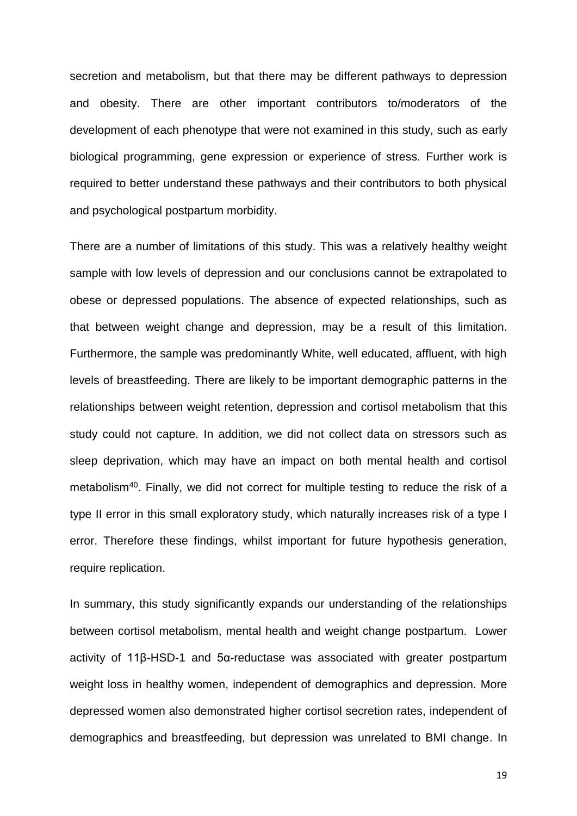secretion and metabolism, but that there may be different pathways to depression and obesity. There are other important contributors to/moderators of the development of each phenotype that were not examined in this study, such as early biological programming, gene expression or experience of stress. Further work is required to better understand these pathways and their contributors to both physical and psychological postpartum morbidity.

There are a number of limitations of this study. This was a relatively healthy weight sample with low levels of depression and our conclusions cannot be extrapolated to obese or depressed populations. The absence of expected relationships, such as that between weight change and depression, may be a result of this limitation. Furthermore, the sample was predominantly White, well educated, affluent, with high levels of breastfeeding. There are likely to be important demographic patterns in the relationships between weight retention, depression and cortisol metabolism that this study could not capture. In addition, we did not collect data on stressors such as sleep deprivation, which may have an impact on both mental health and cortisol metabolism<sup>40</sup>. Finally, we did not correct for multiple testing to reduce the risk of a type II error in this small exploratory study, which naturally increases risk of a type I error. Therefore these findings, whilst important for future hypothesis generation, require replication.

In summary, this study significantly expands our understanding of the relationships between cortisol metabolism, mental health and weight change postpartum. Lower activity of 11β-HSD-1 and 5α-reductase was associated with greater postpartum weight loss in healthy women, independent of demographics and depression. More depressed women also demonstrated higher cortisol secretion rates, independent of demographics and breastfeeding, but depression was unrelated to BMI change. In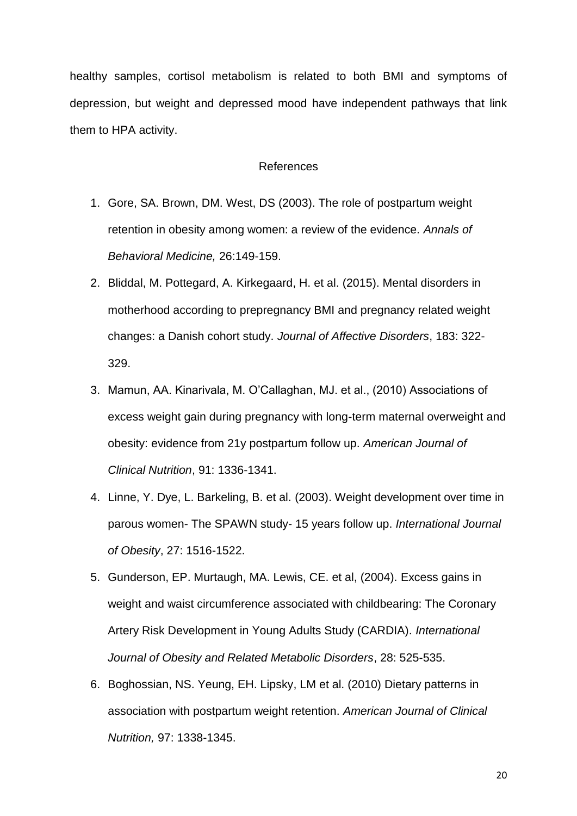healthy samples, cortisol metabolism is related to both BMI and symptoms of depression, but weight and depressed mood have independent pathways that link them to HPA activity.

### References

- 1. Gore, SA. Brown, DM. West, DS (2003). The role of postpartum weight retention in obesity among women: a review of the evidence. *Annals of Behavioral Medicine,* 26:149-159.
- 2. Bliddal, M. Pottegard, A. Kirkegaard, H. et al. (2015). Mental disorders in motherhood according to prepregnancy BMI and pregnancy related weight changes: a Danish cohort study. *Journal of Affective Disorders*, 183: 322- 329.
- 3. Mamun, AA. Kinarivala, M. O'Callaghan, MJ. et al., (2010) Associations of excess weight gain during pregnancy with long-term maternal overweight and obesity: evidence from 21y postpartum follow up. *American Journal of Clinical Nutrition*, 91: 1336-1341.
- 4. Linne, Y. Dye, L. Barkeling, B. et al. (2003). Weight development over time in parous women- The SPAWN study- 15 years follow up. *International Journal of Obesity*, 27: 1516-1522.
- 5. Gunderson, EP. Murtaugh, MA. Lewis, CE. et al, (2004). Excess gains in weight and waist circumference associated with childbearing: The Coronary Artery Risk Development in Young Adults Study (CARDIA). *International Journal of Obesity and Related Metabolic Disorders*, 28: 525-535.
- 6. Boghossian, NS. Yeung, EH. Lipsky, LM et al. (2010) Dietary patterns in association with postpartum weight retention. *American Journal of Clinical Nutrition,* 97: 1338-1345.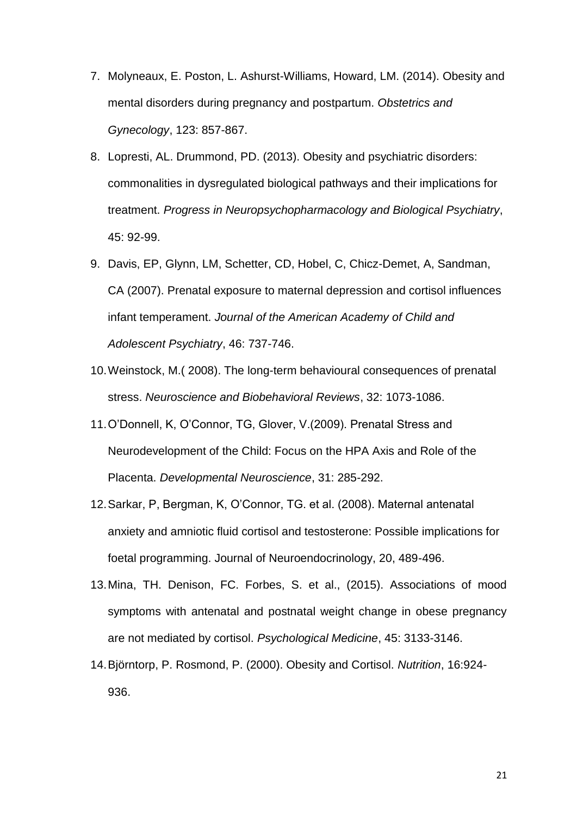- 7. Molyneaux, E. Poston, L. Ashurst-Williams, Howard, LM. (2014). Obesity and mental disorders during pregnancy and postpartum. *Obstetrics and Gynecology*, 123: 857-867.
- 8. Lopresti, AL. Drummond, PD. (2013). Obesity and psychiatric disorders: commonalities in dysregulated biological pathways and their implications for treatment. *Progress in Neuropsychopharmacology and Biological Psychiatry*, 45: 92-99.
- 9. Davis, EP, Glynn, LM, Schetter, CD, Hobel, C, Chicz-Demet, A, Sandman, CA (2007). Prenatal exposure to maternal depression and cortisol influences infant temperament. *Journal of the American Academy of Child and Adolescent Psychiatry*, 46: 737-746.
- 10.Weinstock, M.( 2008). The long-term behavioural consequences of prenatal stress. *Neuroscience and Biobehavioral Reviews*, 32: 1073-1086.
- 11.O'Donnell, K, O'Connor, TG, Glover, V.(2009). Prenatal Stress and Neurodevelopment of the Child: Focus on the HPA Axis and Role of the Placenta. *Developmental Neuroscience*, 31: 285-292.
- 12.Sarkar, P, Bergman, K, O'Connor, TG. et al. (2008). Maternal antenatal anxiety and amniotic fluid cortisol and testosterone: Possible implications for foetal programming. Journal of Neuroendocrinology, 20, 489-496.
- 13.Mina, TH. Denison, FC. Forbes, S. et al., (2015). Associations of mood symptoms with antenatal and postnatal weight change in obese pregnancy are not mediated by cortisol. *Psychological Medicine*, 45: 3133-3146.
- 14.Björntorp, P. Rosmond, P. (2000). Obesity and Cortisol. *Nutrition*, 16:924- 936.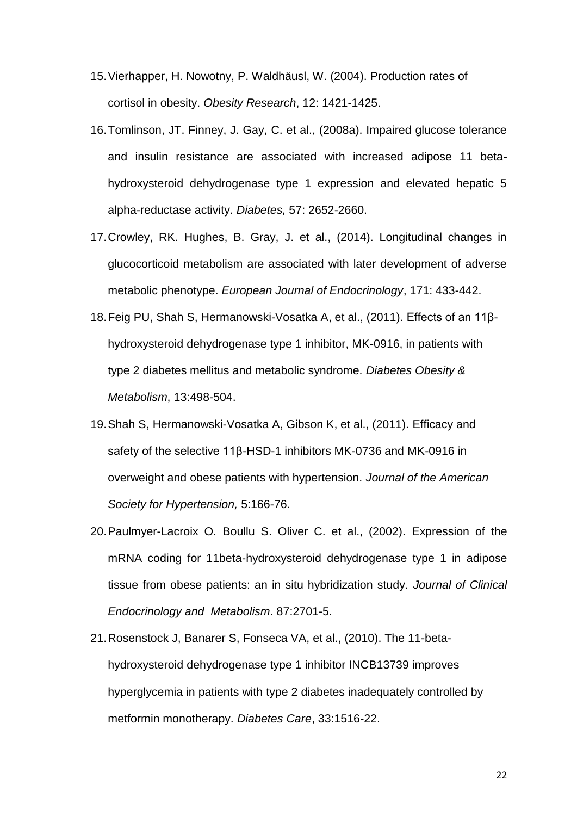- 15.Vierhapper, H. Nowotny, P. Waldhäusl, W. (2004). Production rates of cortisol in obesity. *Obesity Research*, 12: 1421-1425.
- 16.Tomlinson, JT. Finney, J. Gay, C. et al., (2008a). Impaired glucose tolerance and insulin resistance are associated with increased adipose 11 betahydroxysteroid dehydrogenase type 1 expression and elevated hepatic 5 alpha-reductase activity. *Diabetes,* 57: 2652-2660.
- 17.Crowley, RK. Hughes, B. Gray, J. et al., (2014). Longitudinal changes in glucocorticoid metabolism are associated with later development of adverse metabolic phenotype. *European Journal of Endocrinology*, 171: 433-442.
- 18.Feig PU, Shah S, Hermanowski-Vosatka A, et al., (2011). Effects of an 11βhydroxysteroid dehydrogenase type 1 inhibitor, MK-0916, in patients with type 2 diabetes mellitus and metabolic syndrome. *Diabetes Obesity & Metabolism*, 13:498-504.
- 19.Shah S, Hermanowski-Vosatka A, Gibson K, et al., (2011). Efficacy and safety of the selective 11β-HSD-1 inhibitors MK-0736 and MK-0916 in overweight and obese patients with hypertension. *Journal of the American Society for Hypertension,* 5:166-76.
- 20.Paulmyer-Lacroix O. Boullu S. Oliver C. et al., (2002). Expression of the mRNA coding for 11beta-hydroxysteroid dehydrogenase type 1 in adipose tissue from obese patients: an in situ hybridization study. *Journal of Clinical Endocrinology and Metabolism*. 87:2701-5.
- 21.Rosenstock J, Banarer S, Fonseca VA, et al., (2010). The 11-betahydroxysteroid dehydrogenase type 1 inhibitor INCB13739 improves hyperglycemia in patients with type 2 diabetes inadequately controlled by metformin monotherapy. *Diabetes Care*, 33:1516-22.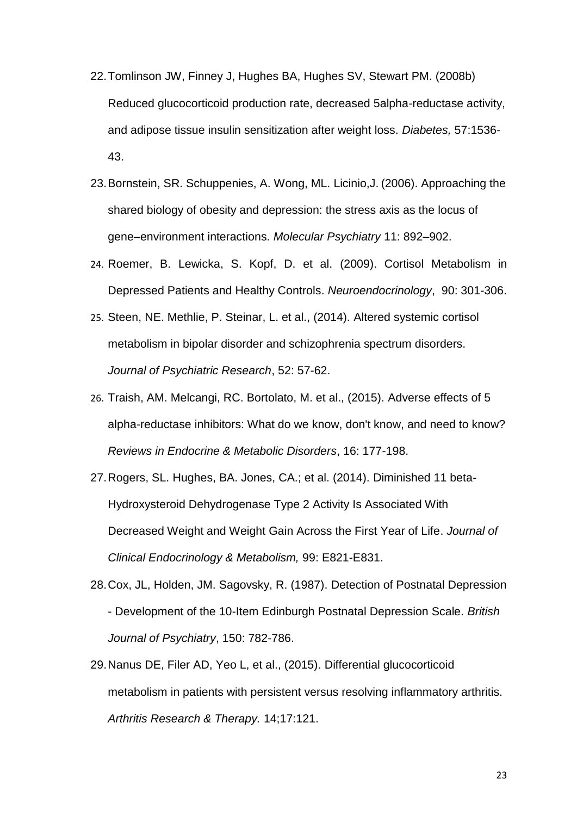- 22.Tomlinson JW, Finney J, Hughes BA, Hughes SV, Stewart PM. (2008b) Reduced glucocorticoid production rate, decreased 5alpha-reductase activity, and adipose tissue insulin sensitization after weight loss. *Diabetes,* 57:1536- 43.
- 23.Bornstein, SR. Schuppenies, A. Wong, ML. Licinio,J. (2006). Approaching the shared biology of obesity and depression: the stress axis as the locus of gene–environment interactions. *Molecular Psychiatry* 11: 892–902.
- 24. Roemer, B. Lewicka, S. Kopf, D. et al. (2009). Cortisol Metabolism in Depressed Patients and Healthy Controls. *Neuroendocrinology*, 90: 301-306.
- 25. Steen, NE. Methlie, P. Steinar, L. et al., (2014). Altered systemic cortisol metabolism in bipolar disorder and schizophrenia spectrum disorders. *Journal of Psychiatric Research*, 52: 57-62.
- 26. Traish, AM. Melcangi, RC. Bortolato, M. et al., (2015). Adverse effects of 5 alpha-reductase inhibitors: What do we know, don't know, and need to know? *Reviews in Endocrine & Metabolic Disorders*, 16: 177-198.
- 27.Rogers, SL. Hughes, BA. Jones, CA.; et al. (2014). Diminished 11 beta-Hydroxysteroid Dehydrogenase Type 2 Activity Is Associated With Decreased Weight and Weight Gain Across the First Year of Life. *Journal of Clinical Endocrinology & Metabolism,* 99: E821-E831.
- 28.Cox, JL, Holden, JM. Sagovsky, R. (1987). Detection of Postnatal Depression - Development of the 10-Item Edinburgh Postnatal Depression Scale. *British Journal of Psychiatry*, 150: 782-786.
- 29.Nanus DE, Filer AD, Yeo L, et al., (2015). Differential glucocorticoid metabolism in patients with persistent versus resolving inflammatory arthritis. *Arthritis Research & Therapy.* 14;17:121.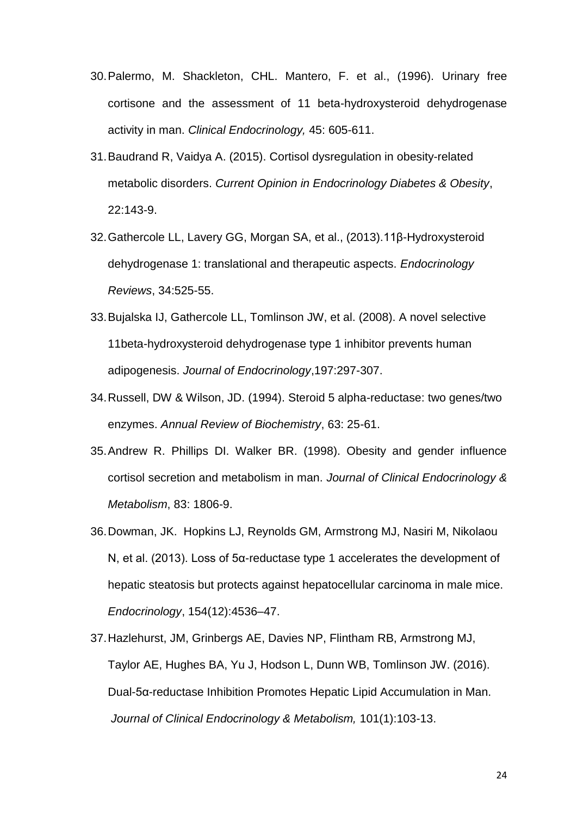- 30.Palermo, M. Shackleton, CHL. Mantero, F. et al., (1996). Urinary free cortisone and the assessment of 11 beta-hydroxysteroid dehydrogenase activity in man. *Clinical Endocrinology,* 45: 605-611.
- 31.Baudrand R, Vaidya A. (2015). Cortisol dysregulation in obesity-related metabolic disorders. *Current Opinion in Endocrinology Diabetes & Obesity*, 22:143-9.
- 32.Gathercole LL, Lavery GG, Morgan SA, et al., (2013).11β-Hydroxysteroid dehydrogenase 1: translational and therapeutic aspects. *Endocrinology Reviews*, 34:525-55.
- 33.Bujalska IJ, Gathercole LL, Tomlinson JW, et al. (2008). A novel selective 11beta-hydroxysteroid dehydrogenase type 1 inhibitor prevents human adipogenesis. *Journal of Endocrinology*,197:297-307.
- 34.Russell, DW & Wilson, JD. (1994). Steroid 5 alpha-reductase: two genes/two enzymes. *Annual Review of Biochemistry*, 63: 25-61.
- 35.Andrew R. Phillips DI. Walker BR. (1998). Obesity and gender influence cortisol secretion and metabolism in man. *Journal of Clinical Endocrinology & Metabolism*, 83: 1806-9.
- 36.Dowman, JK. Hopkins LJ, Reynolds GM, Armstrong MJ, Nasiri M, Nikolaou N, et al. (2013). Loss of 5α-reductase type 1 accelerates the development of hepatic steatosis but protects against hepatocellular carcinoma in male mice. *Endocrinology*, 154(12):4536–47.
- 37.Hazlehurst, JM, Grinbergs AE, Davies NP, Flintham RB, Armstrong MJ, Taylor AE, Hughes BA, Yu J, Hodson L, Dunn WB, Tomlinson JW. (2016). Dual-5α-reductase Inhibition Promotes Hepatic Lipid Accumulation in Man. *Journal of Clinical Endocrinology & Metabolism,* 101(1):103-13.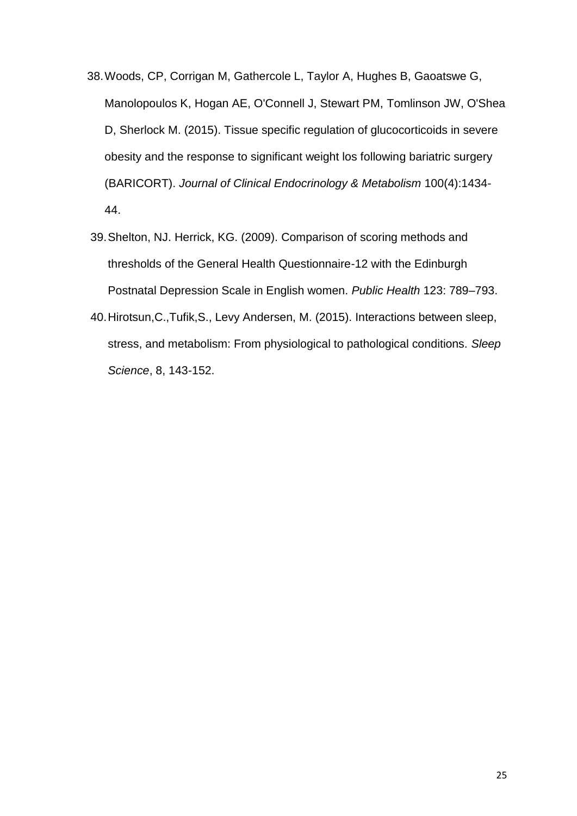- 38.Woods, CP, Corrigan M, Gathercole L, Taylor A, Hughes B, Gaoatswe G, Manolopoulos K, Hogan AE, O'Connell J, Stewart PM, Tomlinson JW, O'Shea D, Sherlock M. (2015). Tissue specific regulation of glucocorticoids in severe obesity and the response to significant weight los following bariatric surgery (BARICORT). *Journal of Clinical Endocrinology & Metabolism* 100(4):1434- 44.
- 39.Shelton, NJ. Herrick, KG. (2009). Comparison of scoring methods and thresholds of the General Health Questionnaire-12 with the Edinburgh Postnatal Depression Scale in English women. *Public Health* 123: 789–793.
- 40.Hirotsun,C.,Tufik,S., Levy Andersen, M. (2015). Interactions between sleep, stress, and metabolism: From physiological to pathological conditions. *Sleep Science*, 8, 143-152.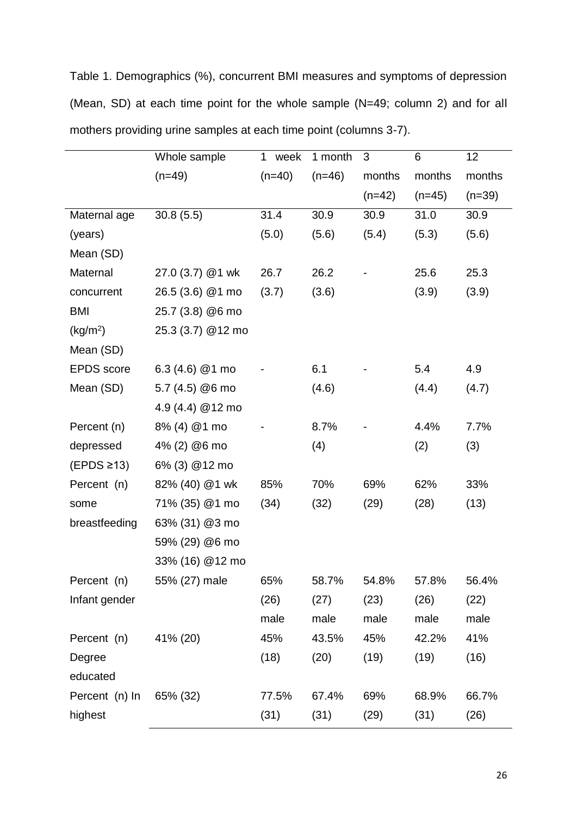Table 1. Demographics (%), concurrent BMI measures and symptoms of depression (Mean, SD) at each time point for the whole sample (N=49; column 2) and for all mothers providing urine samples at each time point (columns 3-7).

|                      | Whole sample      | 1 week   | 1 month  | 3        | 6        | 12       |
|----------------------|-------------------|----------|----------|----------|----------|----------|
|                      | $(n=49)$          | $(n=40)$ | $(n=46)$ | months   | months   | months   |
|                      |                   |          |          | $(n=42)$ | $(n=45)$ | $(n=39)$ |
| Maternal age         | 30.8(5.5)         | 31.4     | 30.9     | 30.9     | 31.0     | 30.9     |
| (years)              |                   | (5.0)    | (5.6)    | (5.4)    | (5.3)    | (5.6)    |
| Mean (SD)            |                   |          |          |          |          |          |
| Maternal             | 27.0 (3.7) @1 wk  | 26.7     | 26.2     |          | 25.6     | 25.3     |
| concurrent           | 26.5 (3.6) @1 mo  | (3.7)    | (3.6)    |          | (3.9)    | (3.9)    |
| <b>BMI</b>           | 25.7 (3.8) @6 mo  |          |          |          |          |          |
| (kg/m <sup>2</sup> ) | 25.3 (3.7) @12 mo |          |          |          |          |          |
| Mean (SD)            |                   |          |          |          |          |          |
| <b>EPDS</b> score    | 6.3 (4.6) $@1$ mo |          | 6.1      |          | 5.4      | 4.9      |
| Mean (SD)            | 5.7 (4.5) @6 mo   |          | (4.6)    |          | (4.4)    | (4.7)    |
|                      | 4.9 (4.4) @12 mo  |          |          |          |          |          |
| Percent (n)          | 8% (4) @1 mo      |          | 8.7%     |          | 4.4%     | 7.7%     |
| depressed            | 4% (2) @6 mo      |          | (4)      |          | (2)      | (3)      |
| $(EPDS \geq 13)$     | 6% (3) @12 mo     |          |          |          |          |          |
| Percent (n)          | 82% (40) @1 wk    | 85%      | 70%      | 69%      | 62%      | 33%      |
| some                 | 71% (35) @1 mo    | (34)     | (32)     | (29)     | (28)     | (13)     |
| breastfeeding        | 63% (31) @3 mo    |          |          |          |          |          |
|                      | 59% (29) @6 mo    |          |          |          |          |          |
|                      | 33% (16) @12 mo   |          |          |          |          |          |
| Percent (n)          | 55% (27) male     | 65%      | 58.7%    | 54.8%    | 57.8%    | 56.4%    |
| Infant gender        |                   | (26)     | (27)     | (23)     | (26)     | (22)     |
|                      |                   | male     | male     | male     | male     | male     |
| Percent (n)          | 41% (20)          | 45%      | 43.5%    | 45%      | 42.2%    | 41%      |
| Degree               |                   | (18)     | (20)     | (19)     | (19)     | (16)     |
| educated             |                   |          |          |          |          |          |
| Percent (n) In       | 65% (32)          | 77.5%    | 67.4%    | 69%      | 68.9%    | 66.7%    |
| highest              |                   | (31)     | (31)     | (29)     | (31)     | (26)     |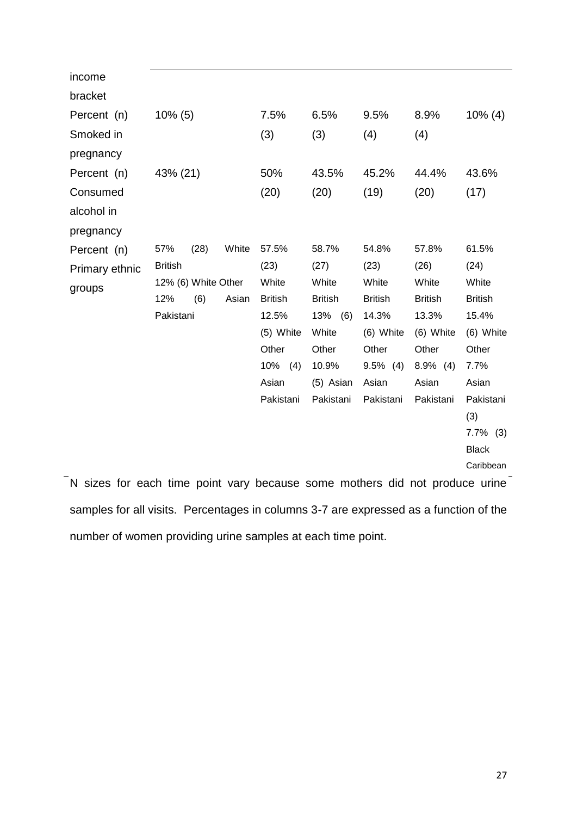| income         |                     |      |       |                |                |                |                |                |
|----------------|---------------------|------|-------|----------------|----------------|----------------|----------------|----------------|
| bracket        |                     |      |       |                |                |                |                |                |
| Percent (n)    | $10\%$ (5)          |      |       | 7.5%           | 6.5%           | 9.5%           | 8.9%           | $10\%$ (4)     |
| Smoked in      |                     |      |       | (3)            | (3)            | (4)            | (4)            |                |
| pregnancy      |                     |      |       |                |                |                |                |                |
| Percent (n)    | 43% (21)            |      |       | 50%            | 43.5%          | 45.2%          | 44.4%          | 43.6%          |
| Consumed       |                     |      |       | (20)           | (20)           | (19)           | (20)           | (17)           |
| alcohol in     |                     |      |       |                |                |                |                |                |
| pregnancy      |                     |      |       |                |                |                |                |                |
| Percent (n)    | 57%                 | (28) | White | 57.5%          | 58.7%          | 54.8%          | 57.8%          | 61.5%          |
| Primary ethnic | <b>British</b>      |      |       | (23)           | (27)           | (23)           | (26)           | (24)           |
| groups         | 12% (6) White Other |      |       | White          | White          | White          | White          | White          |
|                | 12%                 | (6)  | Asian | <b>British</b> | <b>British</b> | <b>British</b> | <b>British</b> | <b>British</b> |
|                | Pakistani           |      |       | 12.5%          | 13%<br>(6)     | 14.3%          | 13.3%          | 15.4%          |
|                |                     |      |       | (5) White      | White          | (6) White      | (6) White      | (6) White      |
|                |                     |      |       | Other          | Other          | Other          | Other          | Other          |
|                |                     |      |       | $10\%$ (4)     | 10.9%          | $9.5\%$ (4)    | $8.9\%$ (4)    | 7.7%           |
|                |                     |      |       | Asian          | (5) Asian      | Asian          | Asian          | Asian          |
|                |                     |      |       | Pakistani      | Pakistani      | Pakistani      | Pakistani      | Pakistani      |
|                |                     |      |       |                |                |                |                | (3)            |
|                |                     |      |       |                |                |                |                | $7.7\%$ (3)    |
|                |                     |      |       |                |                |                |                | <b>Black</b>   |
|                |                     |      |       |                |                |                |                | Caribbean      |

N sizes for each time point vary because some mothers did not produce urine samples for all visits. Percentages in columns 3-7 are expressed as a function of the number of women providing urine samples at each time point.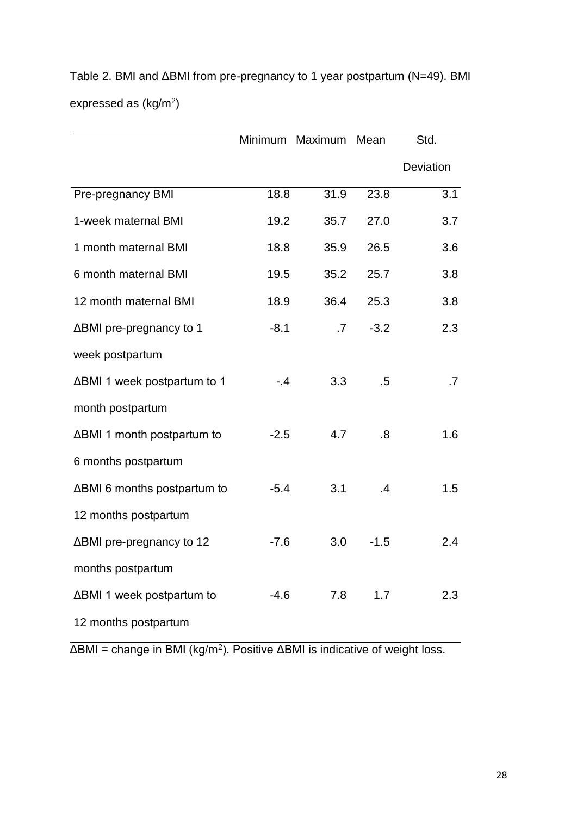|                             | Minimum | Maximum | Mean   | Std.      |
|-----------------------------|---------|---------|--------|-----------|
|                             |         |         |        | Deviation |
| Pre-pregnancy BMI           | 18.8    | 31.9    | 23.8   | 3.1       |
| 1-week maternal BMI         | 19.2    | 35.7    | 27.0   | 3.7       |
| 1 month maternal BMI        | 18.8    | 35.9    | 26.5   | 3.6       |
| 6 month maternal BMI        | 19.5    | 35.2    | 25.7   | 3.8       |
| 12 month maternal BMI       | 18.9    | 36.4    | 25.3   | 3.8       |
| ΔBMI pre-pregnancy to 1     | $-8.1$  | .7      | $-3.2$ | 2.3       |
| week postpartum             |         |         |        |           |
| ΔBMI 1 week postpartum to 1 | $-4$    | 3.3     | .5     | .7        |
| month postpartum            |         |         |        |           |
| ΔBMI 1 month postpartum to  | $-2.5$  | 4.7     | .8     | 1.6       |
| 6 months postpartum         |         |         |        |           |
| ΔBMI 6 months postpartum to | $-5.4$  | 3.1     | .4     | 1.5       |
| 12 months postpartum        |         |         |        |           |
| ΔBMI pre-pregnancy to 12    | $-7.6$  | 3.0     | $-1.5$ | 2.4       |
| months postpartum           |         |         |        |           |
| ∆BMI 1 week postpartum to   | $-4.6$  | 7.8     | 1.7    | 2.3       |
| 12 months postpartum        |         |         |        |           |

Table 2. BMI and ΔBMI from pre-pregnancy to 1 year postpartum (N=49). BMI expressed as  $(kg/m<sup>2</sup>)$ 

 $\Delta$ BMI = change in BMI (kg/m<sup>2</sup>). Positive  $\Delta$ BMI is indicative of weight loss.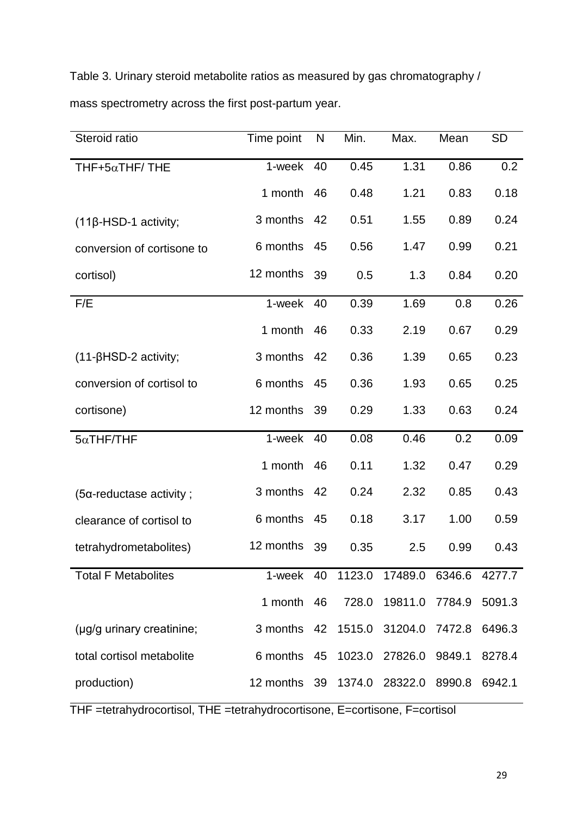Table 3. Urinary steroid metabolite ratios as measured by gas chromatography / mass spectrometry across the first post-partum year.

| Steroid ratio               | Time point                        | N  | Min.  | Max.                                   | Mean   | <b>SD</b> |
|-----------------------------|-----------------------------------|----|-------|----------------------------------------|--------|-----------|
| THF+5 $\alpha$ THF/THE      | 1-week                            | 40 | 0.45  | 1.31                                   | 0.86   | 0.2       |
|                             | 1 month                           | 46 | 0.48  | 1.21                                   | 0.83   | 0.18      |
| $(11\beta$ -HSD-1 activity; | 3 months                          | 42 | 0.51  | 1.55                                   | 0.89   | 0.24      |
| conversion of cortisone to  | 6 months                          | 45 | 0.56  | 1.47                                   | 0.99   | 0.21      |
| cortisol)                   | 12 months                         | 39 | 0.5   | 1.3                                    | 0.84   | 0.20      |
| F/E                         | 1-week                            | 40 | 0.39  | 1.69                                   | 0.8    | 0.26      |
|                             | 1 month                           | 46 | 0.33  | 2.19                                   | 0.67   | 0.29      |
| $(11-\beta$ HSD-2 activity; | 3 months                          | 42 | 0.36  | 1.39                                   | 0.65   | 0.23      |
| conversion of cortisol to   | 6 months                          | 45 | 0.36  | 1.93                                   | 0.65   | 0.25      |
| cortisone)                  | 12 months                         | 39 | 0.29  | 1.33                                   | 0.63   | 0.24      |
| $5\alpha$ THF/THF           | 1-week                            | 40 | 0.08  | 0.46                                   | 0.2    | 0.09      |
|                             | 1 month                           | 46 | 0.11  | 1.32                                   | 0.47   | 0.29      |
| (5a-reductase activity;     | 3 months                          | 42 | 0.24  | 2.32                                   | 0.85   | 0.43      |
| clearance of cortisol to    | 6 months                          | 45 | 0.18  | 3.17                                   | 1.00   | 0.59      |
| tetrahydrometabolites)      | 12 months                         | 39 | 0.35  | 2.5                                    | 0.99   | 0.43      |
| <b>Total F Metabolites</b>  |                                   |    |       | 1-week 40 1123.0 17489.0 6346.6 4277.7 |        |           |
|                             | 1 month                           | 46 | 728.0 | 19811.0                                | 7784.9 | 5091.3    |
| (µg/g urinary creatinine;   | 3 months 42 1515.0                |    |       | 31204.0 7472.8                         |        | 6496.3    |
| total cortisol metabolite   | 6 months 45 1023.0 27826.0 9849.1 |    |       |                                        |        | 8278.4    |
| production)                 | 12 months 39 1374.0               |    |       | 28322.0                                | 8990.8 | 6942.1    |

THF =tetrahydrocortisol, THE =tetrahydrocortisone, E=cortisone, F=cortisol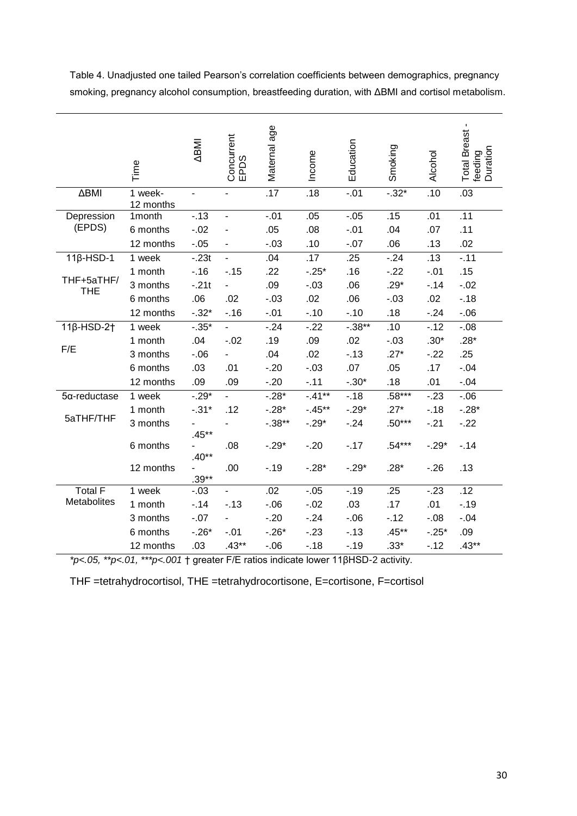Table 4. Unadjusted one tailed Pearson's correlation coefficients between demographics, pregnancy smoking, pregnancy alcohol consumption, breastfeeding duration, with ΔBMI and cortisol metabolism.

|                          | Time                 | <b>IMBV</b>              | Concurrent<br>EPDS       | Maternal age | Income    | Education | Smoking  | Alcohol | Total Breast -<br>feeding<br>Duration |
|--------------------------|----------------------|--------------------------|--------------------------|--------------|-----------|-----------|----------|---------|---------------------------------------|
| ΔBMI                     | 1 week-<br>12 months | $\overline{\phantom{a}}$ |                          | .17          | .18       | $-.01$    | $-.32*$  | .10     | .03                                   |
| Depression               | 1month               | $-13$                    | $\overline{\phantom{0}}$ | $-.01$       | .05       | $-.05$    | .15      | .01     | .11                                   |
| (EPDS)                   | 6 months             | $-0.02$                  |                          | .05          | .08       | $-.01$    | .04      | .07     | .11                                   |
|                          | 12 months            | $-.05$                   |                          | $-.03$       | .10       | $-.07$    | .06      | .13     | .02                                   |
| $11\beta$ -HSD-1         | 1 week               | $-.23t$                  | $\blacksquare$           | .04          | .17       | .25       | $-24$    | .13     | $-.11$                                |
|                          | 1 month              | $-.16$                   | $-.15$                   | .22          | $-25*$    | .16       | $-22$    | $-.01$  | .15                                   |
| THF+5aTHF/<br><b>THE</b> | 3 months             | $-21t$                   |                          | .09          | $-.03$    | .06       | $.29*$   | $-0.14$ | $-.02$                                |
|                          | 6 months             | .06                      | .02                      | $-.03$       | .02       | .06       | $-.03$   | .02     | $-.18$                                |
|                          | 12 months            | $-.32*$                  | $-.16$                   | $-.01$       | $-.10$    | $-.10$    | .18      | $-24$   | $-06$                                 |
| $11\beta$ -HSD-2†        | 1 week               | $-0.35*$                 |                          | $-24$        | $-22$     | $-.38**$  | .10      | $-12$   | $-0.08$                               |
|                          | 1 month              | .04                      | $-.02$                   | .19          | .09       | .02       | $-.03$   | $.30*$  | $.28*$                                |
| F/E                      | 3 months             | $-0.06$                  |                          | .04          | .02       | $-13$     | $.27*$   | $-22$   | .25                                   |
|                          | 6 months             | .03                      | .01                      | $-.20$       | $-.03$    | .07       | .05      | .17     | $-.04$                                |
|                          | 12 months            | .09                      | .09                      | $-.20$       | $-.11$    | $-.30*$   | .18      | .01     | $-.04$                                |
| $5\alpha$ -reductase     | 1 week               | $-0.29*$                 |                          | $-0.28*$     | $-41**$   | $-18$     | $.58***$ | $-23$   | $-0.06$                               |
|                          | 1 month              | $-0.31*$                 | .12                      | $-.28*$      | $-0.45**$ | $-.29*$   | $.27*$   | $-18$   | $-.28*$                               |
| 5aTHF/THF                | 3 months             | $.45***$                 |                          | $-0.38**$    | $-.29*$   | $-24$     | $.50***$ | $-21$   | $-22$                                 |
|                          | 6 months             | $.40**$                  | .08                      | $-.29*$      | $-20$     | $-.17$    | $.54***$ | $-.29*$ | $-14$                                 |
|                          | 12 months            | ω.<br>$.39**$            | .00                      | $-.19$       | $-.28*$   | $-.29*$   | $.28*$   | $-26$   | .13                                   |
| <b>Total F</b>           | 1 week               | $-.03$                   | $\overline{\phantom{0}}$ | .02          | $-0.05$   | $-.19$    | .25      | $-23$   | .12                                   |
| Metabolites              | 1 month              | $-14$                    | $-13$                    | $-0.06$      | $-.02$    | .03       | .17      | .01     | $-.19$                                |
|                          | 3 months             | $-.07$                   |                          | $-.20$       | $-24$     | $-0.06$   | $-.12$   | $-0.08$ | $-.04$                                |
|                          | 6 months             | $-26*$                   | $-.01$                   | $-.26*$      | $-23$     | $-13$     | $.45***$ | $-.25*$ | .09                                   |
|                          | 12 months            | .03                      | $.43**$                  | $-06$        | $-.18$    | $-.19$    | $.33*$   | $-12$   | $.43**$                               |

*\*p<.05, \*\*p<.01, \*\*\*p<.001* † greater F/E ratios indicate lower 11βHSD-2 activity.

THF =tetrahydrocortisol, THE =tetrahydrocortisone, E=cortisone, F=cortisol